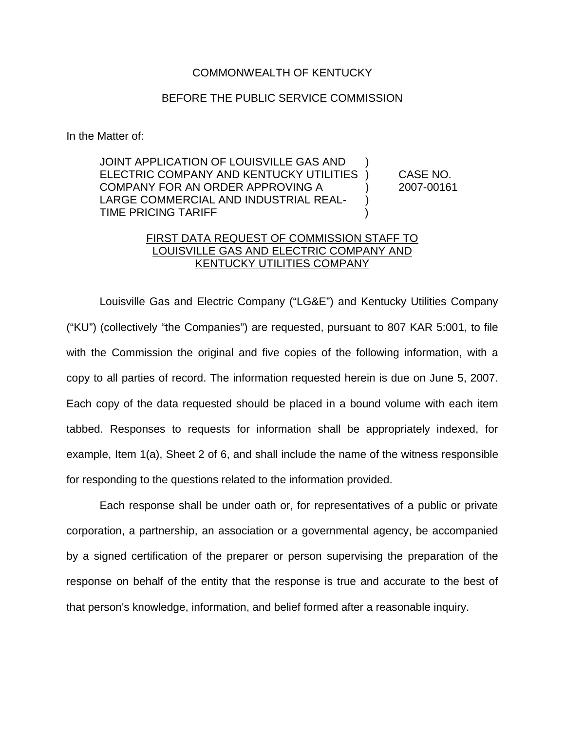## COMMONWEALTH OF KENTUCKY

## BEFORE THE PUBLIC SERVICE COMMISSION

In the Matter of:

JOINT APPLICATION OF LOUISVILLE GAS AND ) ELECTRIC COMPANY AND KENTUCKY UTILITIES ) CASE NO. COMPANY FOR AN ORDER APPROVING A ) 2007-00161 LARGE COMMERCIAL AND INDUSTRIAL REAL- ) TIME PRICING TARIFF )

## FIRST DATA REQUEST OF COMMISSION STAFF TO LOUISVILLE GAS AND ELECTRIC COMPANY AND KENTUCKY UTILITIES COMPANY

Louisville Gas and Electric Company ("LG&E") and Kentucky Utilities Company ("KU") (collectively "the Companies") are requested, pursuant to 807 KAR 5:001, to file with the Commission the original and five copies of the following information, with a copy to all parties of record. The information requested herein is due on June 5, 2007. Each copy of the data requested should be placed in a bound volume with each item tabbed. Responses to requests for information shall be appropriately indexed, for example, Item 1(a), Sheet 2 of 6, and shall include the name of the witness responsible for responding to the questions related to the information provided.

Each response shall be under oath or, for representatives of a public or private corporation, a partnership, an association or a governmental agency, be accompanied by a signed certification of the preparer or person supervising the preparation of the response on behalf of the entity that the response is true and accurate to the best of that person's knowledge, information, and belief formed after a reasonable inquiry.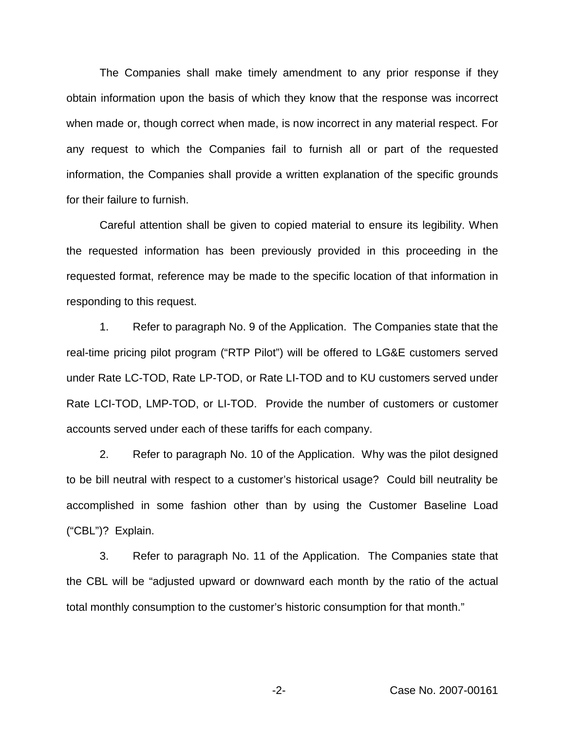The Companies shall make timely amendment to any prior response if they obtain information upon the basis of which they know that the response was incorrect when made or, though correct when made, is now incorrect in any material respect. For any request to which the Companies fail to furnish all or part of the requested information, the Companies shall provide a written explanation of the specific grounds for their failure to furnish.

Careful attention shall be given to copied material to ensure its legibility. When the requested information has been previously provided in this proceeding in the requested format, reference may be made to the specific location of that information in responding to this request.

1. Refer to paragraph No. 9 of the Application. The Companies state that the real-time pricing pilot program ("RTP Pilot") will be offered to LG&E customers served under Rate LC-TOD, Rate LP-TOD, or Rate LI-TOD and to KU customers served under Rate LCI-TOD, LMP-TOD, or LI-TOD. Provide the number of customers or customer accounts served under each of these tariffs for each company.

2. Refer to paragraph No. 10 of the Application. Why was the pilot designed to be bill neutral with respect to a customer's historical usage? Could bill neutrality be accomplished in some fashion other than by using the Customer Baseline Load ("CBL")? Explain.

3. Refer to paragraph No. 11 of the Application. The Companies state that the CBL will be "adjusted upward or downward each month by the ratio of the actual total monthly consumption to the customer's historic consumption for that month."

-2- Case No. 2007-00161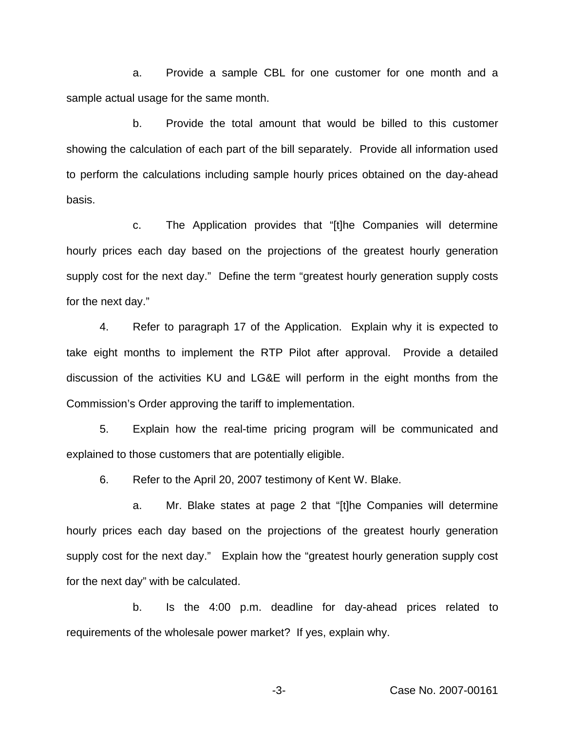a. Provide a sample CBL for one customer for one month and a sample actual usage for the same month.

b. Provide the total amount that would be billed to this customer showing the calculation of each part of the bill separately. Provide all information used to perform the calculations including sample hourly prices obtained on the day-ahead basis.

c. The Application provides that "[t]he Companies will determine hourly prices each day based on the projections of the greatest hourly generation supply cost for the next day." Define the term "greatest hourly generation supply costs for the next day."

4. Refer to paragraph 17 of the Application. Explain why it is expected to take eight months to implement the RTP Pilot after approval. Provide a detailed discussion of the activities KU and LG&E will perform in the eight months from the Commission's Order approving the tariff to implementation.

5. Explain how the real-time pricing program will be communicated and explained to those customers that are potentially eligible.

6. Refer to the April 20, 2007 testimony of Kent W. Blake.

a. Mr. Blake states at page 2 that "[t]he Companies will determine hourly prices each day based on the projections of the greatest hourly generation supply cost for the next day." Explain how the "greatest hourly generation supply cost for the next day" with be calculated.

b. Is the 4:00 p.m. deadline for day-ahead prices related to requirements of the wholesale power market? If yes, explain why.

-3- Case No. 2007-00161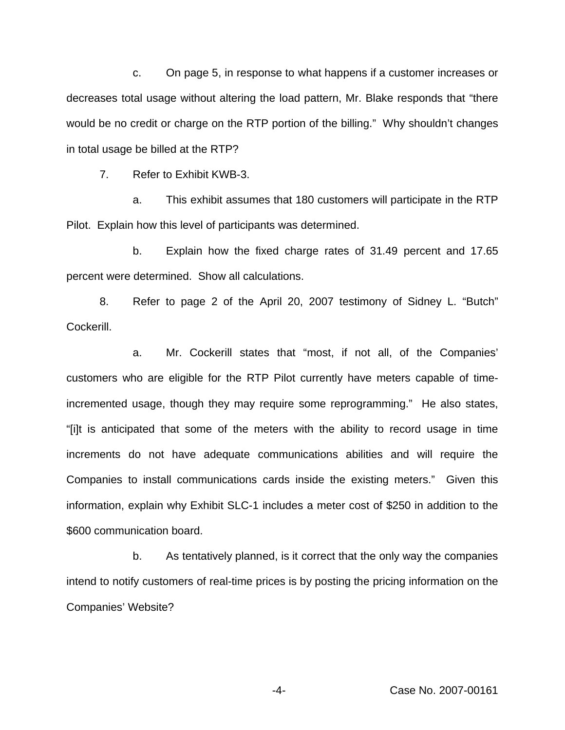c. On page 5, in response to what happens if a customer increases or decreases total usage without altering the load pattern, Mr. Blake responds that "there would be no credit or charge on the RTP portion of the billing." Why shouldn't changes in total usage be billed at the RTP?

7. Refer to Exhibit KWB-3.

a. This exhibit assumes that 180 customers will participate in the RTP Pilot. Explain how this level of participants was determined.

b. Explain how the fixed charge rates of 31.49 percent and 17.65 percent were determined. Show all calculations.

8. Refer to page 2 of the April 20, 2007 testimony of Sidney L. "Butch" Cockerill.

a. Mr. Cockerill states that "most, if not all, of the Companies' customers who are eligible for the RTP Pilot currently have meters capable of timeincremented usage, though they may require some reprogramming." He also states, "[i]t is anticipated that some of the meters with the ability to record usage in time increments do not have adequate communications abilities and will require the Companies to install communications cards inside the existing meters." Given this information, explain why Exhibit SLC-1 includes a meter cost of \$250 in addition to the \$600 communication board.

b. As tentatively planned, is it correct that the only way the companies intend to notify customers of real-time prices is by posting the pricing information on the Companies' Website?

-4- Case No. 2007-00161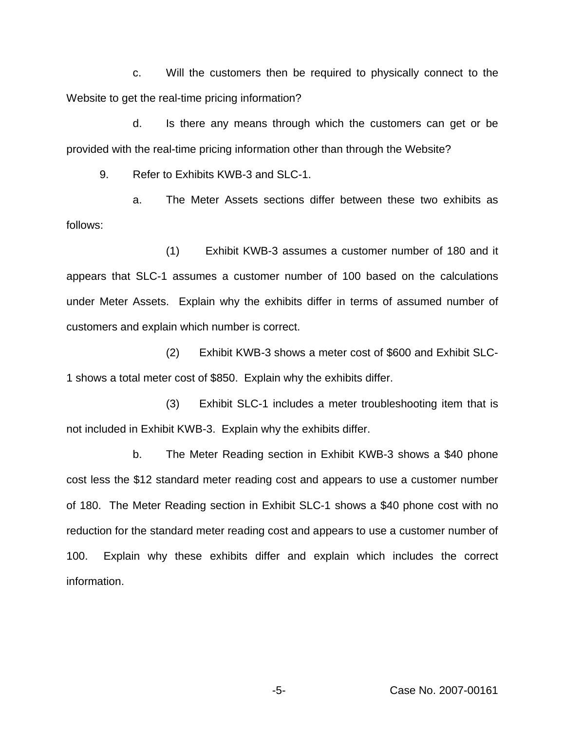c. Will the customers then be required to physically connect to the Website to get the real-time pricing information?

d. Is there any means through which the customers can get or be provided with the real-time pricing information other than through the Website?

9. Refer to Exhibits KWB-3 and SLC-1.

a. The Meter Assets sections differ between these two exhibits as follows:

(1) Exhibit KWB-3 assumes a customer number of 180 and it appears that SLC-1 assumes a customer number of 100 based on the calculations under Meter Assets. Explain why the exhibits differ in terms of assumed number of customers and explain which number is correct.

(2) Exhibit KWB-3 shows a meter cost of \$600 and Exhibit SLC-1 shows a total meter cost of \$850. Explain why the exhibits differ.

(3) Exhibit SLC-1 includes a meter troubleshooting item that is not included in Exhibit KWB-3. Explain why the exhibits differ.

b. The Meter Reading section in Exhibit KWB-3 shows a \$40 phone cost less the \$12 standard meter reading cost and appears to use a customer number of 180. The Meter Reading section in Exhibit SLC-1 shows a \$40 phone cost with no reduction for the standard meter reading cost and appears to use a customer number of 100. Explain why these exhibits differ and explain which includes the correct information.

-5- Case No. 2007-00161